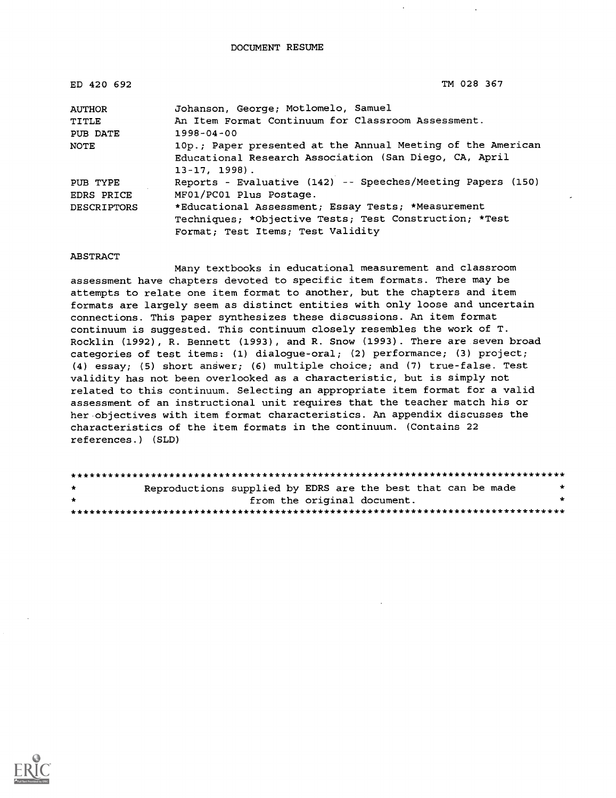| ED 420 692         | TM 028 367                                                                                                                               |
|--------------------|------------------------------------------------------------------------------------------------------------------------------------------|
| <b>AUTHOR</b>      | Johanson, George; Motlomelo, Samuel                                                                                                      |
| TITLE              | An Item Format Continuum for Classroom Assessment.                                                                                       |
| PUB DATE           | $1998 - 04 - 00$                                                                                                                         |
| NOTE               | 10p.; Paper presented at the Annual Meeting of the American<br>Educational Research Association (San Diego, CA, April<br>$13-17, 1998$ . |
| PUB TYPE           | Reports - Evaluative (142) -- Speeches/Meeting Papers (150)                                                                              |
| <b>EDRS PRICE</b>  | MF01/PC01 Plus Postage.                                                                                                                  |
| <b>DESCRIPTORS</b> | *Educational Assessment; Essay Tests; *Measurement                                                                                       |
|                    | Techniques; *Objective Tests; Test Construction; *Test                                                                                   |
|                    | Format; Test Items; Test Validity                                                                                                        |

#### ABSTRACT

Many textbooks in educational measurement and classroom assessment have chapters devoted to specific item formats. There may be attempts to relate one item format to another, but the chapters and item formats are largely seem as distinct entities with only loose and uncertain connections. This paper synthesizes these discussions. An item format continuum is suggested. This continuum closely resembles the work of T. Rocklin (1992), R. Bennett (1993), and R. Snow (1993). There are seven broad categories of test items: (1) dialogue-oral; (2) performance; (3) project; (4) essay; (5) short answer; (6) multiple choice; and (7) true-false. Test validity has not been overlooked as a characteristic, but is simply not related to this continuum. Selecting an appropriate item format for a valid assessment of an instructional unit requires that the teacher match his or her objectives with item format characteristics. An appendix discusses the characteristics of the item formats in the continuum. (Contains 22 references.) (SLD)

| $\star$ | Reproductions supplied by EDRS are the best that can be made |                             |  |  |  |
|---------|--------------------------------------------------------------|-----------------------------|--|--|--|
| $\star$ |                                                              | from the original document. |  |  |  |
|         |                                                              |                             |  |  |  |

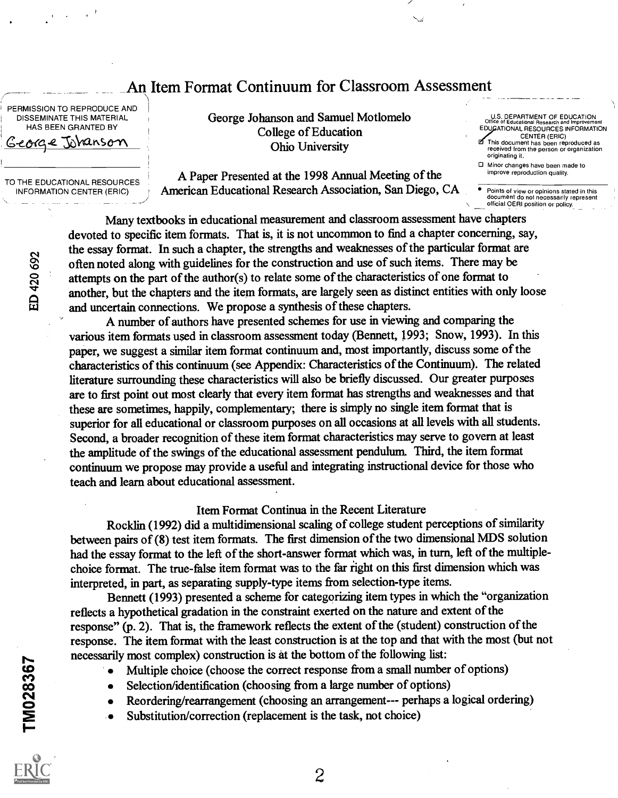## An Item Format Continuum for Classroom Assessment

PERMISSION TO REPRODUCE AND DISSEMINATE THIS MATERIAL HAS BEEN GRANTED BY George Tobansom

TO THE EDUCATIONAL RESOURCES INFORMATION CENTER (ERIC)

(44

i

George Johanson and Samuel Motlomelo College of Education Ohio University

A Paper Presented at the 1998 Annual Meeting of the American Educational Research Association, San Diego, CA

U.S. DEPARTMENT OF EDUCATION Office of Educational Research and Improvement EDUJeATIONAL RESOURCES INFORMATION

CENTER (ERIC) This document has been reproduced as received from the person or organization originating it.

D Minor changes have been made to<br>improve reproduction quality.

Points of view or opinions stated in this<br>document do not necessarily represent official OERI position or policy.

<u>on s</u>  $\frac{1}{20}$  attempts on the part of the author(s) to relate some of the characteristics of one format to another, but the chapters and the item formats, are largely seen as distinct entities with only loose Many textbooks in educational measurement and classroom assessment have chapters devoted to specific item formats. That is, it is not uncommon to find a chapter concerning, say, the essay format. In such a chapter, the strengths and weaknesses of the particular format are often noted along with guidelines for the construction and use of such items. There may be and uncertain connections. We propose a synthesis of these chapters.

A number of authors have presented schemes for use in viewing and comparing the various item formats used in classroom assessment today (Bennett, 1993; Snow, 1993). In this paper, we suggest a similar item format continuum and, most importantly, discuss some of the characteristics of this continuum (see Appendix: Characteristics of the Continuum). The related literature surrounding these characteristics will also be briefly discussed. Our greater purposes are to first point out most clearly that every item format has strengths and weaknesses and that these are sometimes, happily, complementary; there is simply no single item format that is superior for all educational or classroom purposes on all occasions at all levels with all students. Second, a broader recognition of these item format characteristics may serve to govern at least the amplitude of the swings of the educational assessment pendulum. Third, the item format continuum we propose may provide a useful and integrating instructional device for those who teach and learn about educational assessment.

#### Item Format Continua in the Recent Literature

Rocklin (1992) did a multidimensional scaling of college student perceptions of similarity between pairs of (8) test item formats. The first dimension of the two dimensional MDS solution had the essay format to the left of the short-answer format which was, in turn, left of the multiplechoice format. The true-false item format was to the far right on this first dimension which was interpreted, in part, as separating supply-type items from selection-type items.

Bennett (1993) presented a scheme for categorizing item types in which the "organization reflects a hypothetical gradation in the constraint exerted on the nature and extent of the response" (p. 2). That is, the framework reflects the extent of the (student) construction of the response. The item format with the least construction is at the top and that with the most (but not necessarily most complex) construction is at the bottom of the following list:

- Multiple choice (choose the correct response from a small number of options)
	- Selection/identification (choosing from a large number of options)
- **C**<br>**E** Sub Reordering/rearrangement (choosing an arrangement--- perhaps a logical ordering)
	- Substitution/correction (replacement is the task, not choice)



1%-

ကု $\sim$ CO DI CONTRA CONTRA CONTRA CONTRA CONTRA CONTRA CONTRA CONTRA CONTRA CONTRA CONTRA CONTRA CONTRA CONTRA CONTRA

2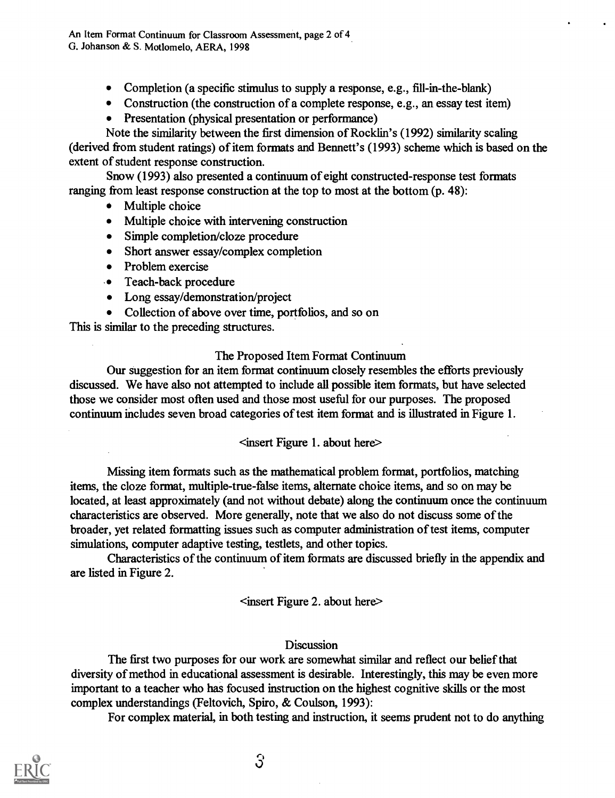An Item Format Continuum for Classroom Assessment, page 2 of 4 G. Johanson & S. Motlomelo, AERA, 1998

- Completion (a specific stimulus to supply a response, e.g., fill-in-the-blank)
- Construction (the construction of a complete response, e.g., an essay test item)
- Presentation (physical presentation or performance)

Note the similarity between the first dimension of Rocklin's (1992) similarity scaling (derived from student ratings) of item formats and Bennett's (1993) scheme which is based on the extent of student response construction.

Snow (1993) also presented a continuum of eight constructed-response test formats ranging from least response construction at the top to most at the bottom (p. 48):

- Multiple choice
- Multiple choice with intervening construction
- Simple completion/cloze procedure
- Short answer essay/complex completion
- 
- Problem exercise<br>• Teach-back procedure
- Long essay/demonstration/project
- Collection of above over time, portfolios, and so on

This is similar to the preceding structures.

### The Proposed Item Format Continuum

Our suggestion for an item format continuum closely resembles the efforts previously discussed. We have also not attempted to include all possible item formats, but have selected those we consider most often used and those most useful for our purposes. The proposed continuum includes seven broad categories of test item format and is illustrated in Figure 1.

#### <insert Figure 1. about here>

Missing item formats such as the mathematical problem format, portfolios, matching items, the doze format, multiple-true-false items, alternate choice items, and so on may be located, at least approximately (and not without debate) along the continuum once the continuum characteristics are observed. More generally, note that we also do not discuss some of the broader, yet related formatting issues such as computer administration of test items, computer simulations, computer adaptive testing, testlets, and other topics.

Characteristics of the continuum of item formats are discussed briefly in the appendix and are listed in Figure 2.

<insert Figure 2. about here>

#### **Discussion**

The first two purposes for our work are somewhat similar and reflect our belief that diversity of method in educational assessment is desirable. Interestingly, this may be even more important to a teacher who has focused instruction on the highest cognitive skills or the most complex understandings (Feltovich, Spiro, & Coulson, 1993):

For complex material, in both testing and instruction, it seems prudent not to do anything

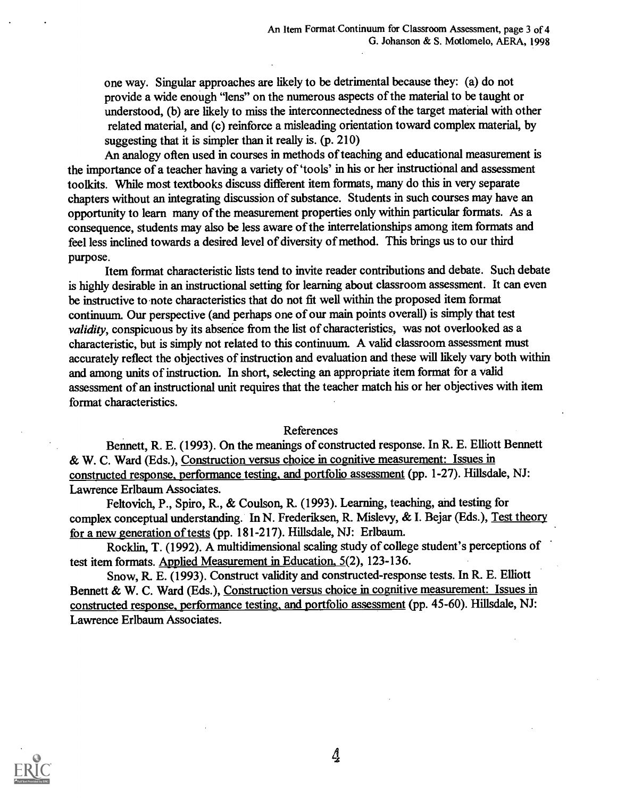one way. Singular approaches are likely to be detrimental because they: (a) do not provide a wide enough "lens" on the numerous aspects of the material to be taught or understood, (b) are likely to miss the interconnectedness of the target material with other related material, and (c) reinforce a misleading orientation toward complex material, by suggesting that it is simpler than it really is. (p. 210)

An analogy often used in courses in methods of teaching and educational measurement is the importance of a teacher having a variety of 'tools' in his or her instructional and assessment toolkits. While most textbooks discuss different item formats, many do this in very separate chapters without an integrating discussion of substance. Students in such courses may have an opportunity to learn many of the measurement properties only within particular formats. As a consequence, students may also be less aware of the interrelationships among item formats and feel less inclined towards a desired level of diversity of method. This brings us to our third purpose.

Item format characteristic lists tend to invite reader contributions and debate. Such debate is highly desirable in an instructional setting for learning about classroom assessment. It can even be instructive to note characteristics that do not fit well within the proposed item format continuum. Our perspective (and perhaps one of our main points overall) is simply that test validity, conspicuous by its absence from the list of characteristics, was not overlooked as a characteristic, but is simply not related to this continuum. A valid classroom assessment must accurately reflect the objectives of instruction and evaluation and these will likely vary both within and among units of instruction. In short, selecting an appropriate item format for a valid assessment of an instructional unit requires that the teacher match his or her objectives with item format characteristics.

#### References

Bennett, R. E. (1993). On the meanings of constructed response. In R. E. Elliott Bennett & W. C. Ward (Eds.), Construction versus choice in cognitive measurement: Issues in constructed response, performance testing, and portfolio assessment (pp. 1-27). Hillsdale, NJ: Lawrence Erlbaum Associates.

Feltovich, P., Spiro, R., & Coulson, R. (1993). Learning, teaching, and testing for complex conceptual understanding. In N. Frederiksen, R. Mislevy, & I. Bejar (Eds.), Test theory for a new generation of tests (pp. 181-217). Hillsdale, NJ: Erlbaum.

Rocklin, T. (1992). A multidimensional scaling study of college student's perceptions of test item formats. Applied Measurement in Education, 5(2), 123-136.

Snow, R. E. (1993). Construct validity and constructed-response tests. In R. E. Elliott Bennett & W. C. Ward (Eds.), Construction versus choice in cognitive measurement: Issues in constructed response, performance testing, and portfolio assessment (pp. 45-60). Hillsdale, NJ: Lawrence Erlbaum Associates.



 $\mathcal{A}$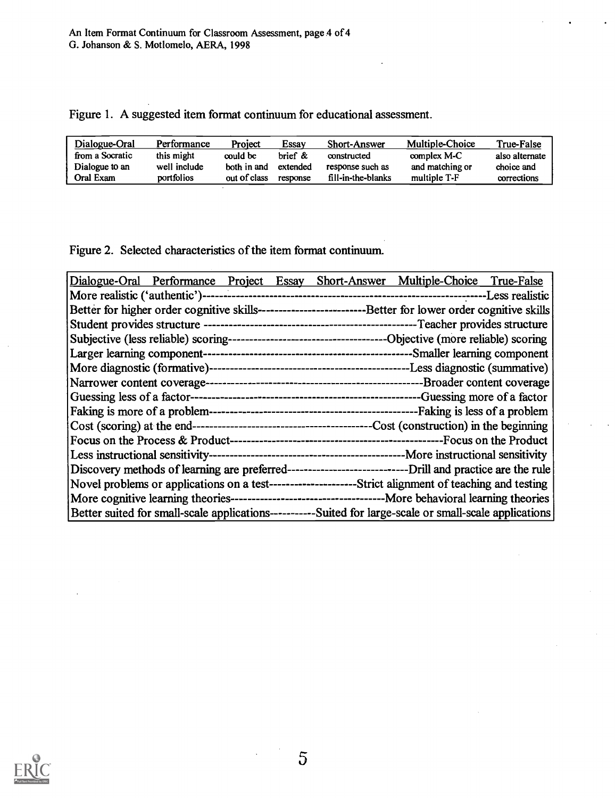|  |  |  | Figure 1. A suggested item format continuum for educational assessment. |  |  |
|--|--|--|-------------------------------------------------------------------------|--|--|
|--|--|--|-------------------------------------------------------------------------|--|--|

| Dialogue-Oral   | Performance  | Project      | Essav    | <b>Short-Answer</b> | Multiple-Choice | True-False     |
|-----------------|--------------|--------------|----------|---------------------|-----------------|----------------|
| from a Socratic | this might   | could be     | brief &  | constructed         | complex M-C     | also alternate |
| Dialogue to an  | well include | both in and  | extended | response such as    | and matching or | choice and     |
| Oral Exam       | portfolios   | out of class | response | fill-in-the-blanks  | multiple T-F    | corrections    |

Figure 2. Selected characteristics of the item format continuum.

| Dialogue-Oral Performance Project Essay Short-Answer Multiple-Choice True-False                               |
|---------------------------------------------------------------------------------------------------------------|
|                                                                                                               |
| Better for higher order cognitive skills------------------------------Better for lower order cognitive skills |
|                                                                                                               |
|                                                                                                               |
|                                                                                                               |
|                                                                                                               |
|                                                                                                               |
|                                                                                                               |
|                                                                                                               |
|                                                                                                               |
|                                                                                                               |
|                                                                                                               |
|                                                                                                               |
| Novel problems or applications on a test---------------------Strict alignment of teaching and testing         |
|                                                                                                               |
| Better suited for small-scale applications----------Suited for large-scale or small-scale applications        |

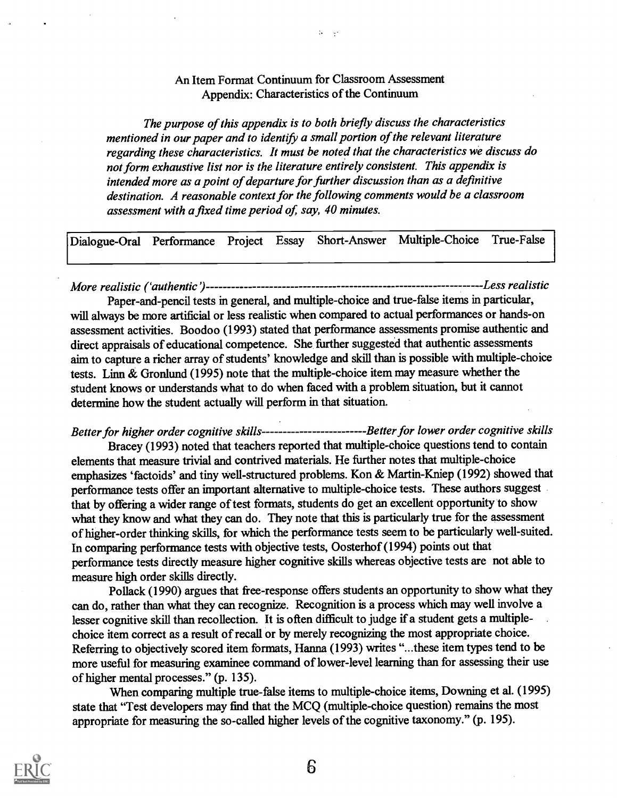#### An Item Format Continuum for Classroom Assessment Appendix: Characteristics of the Continuum

 $\mathcal{N}=\mathcal{N}$ 

The purpose of this appendix is to both briefly discuss the characteristics mentioned in our paper and to identify a small portion of the relevant literature regarding these characteristics. It must be noted that the characteristics we discuss do not form exhaustive list nor is the literature entirely consistent. This appendix is intended more as a point of departure for further discussion than as a definitive destination. A reasonable context for the following comments would be a classroom assessment with a fixed time period of, say, 40 minutes.

Dialogue-Oral Performance Project Essay Short-Answer Multiple-Choice True-False

More realistic Cauthentic) Less realistic

Paper-and-pencil tests in general, and multiple-choice and true-false items in particular, will always be more artificial or less realistic when compared to actual performances or hands-on assessment activities. Boodoo (1993) stated that performance assessments promise authentic and direct appraisals of educational competence. She further suggested that authentic assessments aim to capture a richer array of students' knowledge and skill than is possible with multiple-choice tests. Linn & Gronlund (1995) note that the multiple-choice item may measure whether the student knows or understands what to do when faced with a problem situation, but it cannot determine how the student actually will perform in that situation.

Better for higher order cognitive skills----------------------------Better for lower order cognitive skills

Bracey (1993) noted that teachers reported that multiple-choice questions tend to contain elements that measure trivial and contrived materials. He further notes that multiple-choice emphasizes 'factoids' and tiny well-structured problems. Kon & Martin-Kniep (1992) showed that performance tests offer an important alternative to multiple-choice tests. These authors suggest that by offering a wider range of test formats, students do get an excellent opportunity to show what they know and what they can do. They note that this is particularly true for the assessment of higher-order thinking skills, for which the performance tests seem to be particularly well-suited. In comparing performance tests with objective tests, Oosterhof (1994) points out that performance tests directly measure higher cognitive skills whereas objective tests are not able to measure high order skills directly.

Pollack (1990) argues that free-response offers students an opportunity to show what they can do, rather than what they can recognize. Recognition is a process which may well involve a lesser cognitive skill than recollection. It is often difficult to judge if a student gets a multiplechoice item correct as a result of recall or by merely recognizing the most appropriate choice. Referring to objectively scored item formats, Hanna (1993) writes "...these item types tend to be more useful for measuring examinee command of lower-level learning than for assessing their use of higher mental processes." (p. 135).

When comparing multiple true-false items to multiple-choice items, Downing et al. (1995) state that "Test developers may find that the MCQ (multiple-choice question) remains the most appropriate for measuring the so-called higher levels of the cognitive taxonomy." (p. 195).

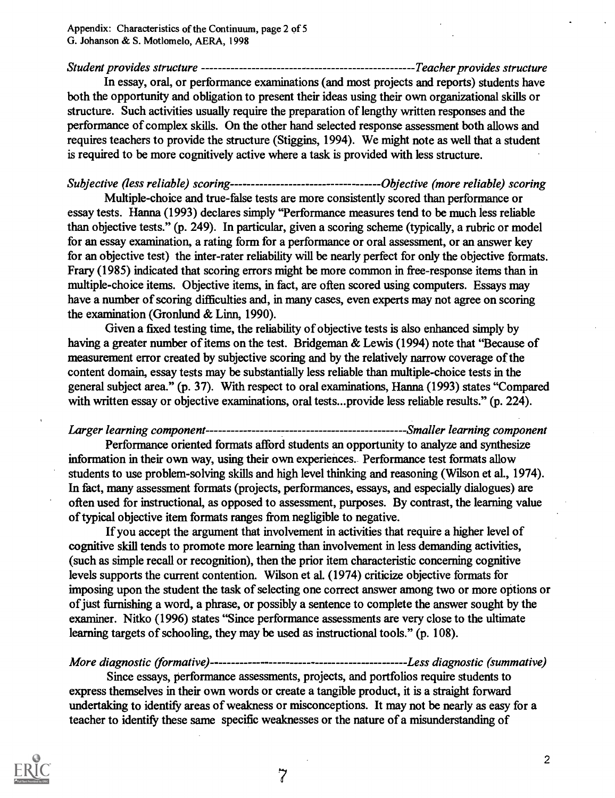Student provides structure Teacher provides structure

In essay, oral, or performance examinations (and most projects and reports) students have both the opportunity and obligation to present their ideas using their own organizational skills or structure. Such activities usually require the preparation of lengthy written responses and the performance of complex skills. On the other hand selected response assessment both allows and requires teachers to provide the structure (Stiggins, 1994). We might note as well that a student is required to be more cognitively active where a task is provided with less structure.

Subjective (less reliable) scoring Objective (more reliable) scoring

Multiple-choice and true-false tests are more consistently scored than performance or essay tests. Hanna (1993) declares simply "Performance measures tend to be much less reliable than objective tests." (p. 249). In particular, given a scoring scheme (typically, a rubric or model for an essay examination, a rating form for a performance or oral assessment, or an answer key for an objective test) the inter-rater reliability will be nearly perfect for only the objective formats. Frary (1985) indicated that scoring errors might be more common in free-response items than in multiple-choice items. Objective items, in fact, are often scored using computers. Essays may have a number of scoring difficulties and, in many cases, even experts may not agree on scoring the examination (Gronlund & Linn, 1990).

Given a fixed testing time, the reliability of objective tests is also enhanced simply by having a greater number of items on the test. Bridgeman & Lewis (1994) note that "Because of measurement error created by subjective scoring and by the relatively narrow coverage of the content domain, essay tests may be substantially less reliable than multiple-choice tests in the general subject area." (p. 37). With respect to oral examinations, Hanna (1993) states "Compared with written essay or objective examinations, oral tests...provide less reliable results." (p. 224).

Larger learning component Smaller learning component Performance oriented formats afford students an opportunity to analyze and synthesize information in their own way, using their own experiences. Performance test formats allow students to use problem-solving skills and high level thinking and reasoning (Wilson et al., 1974). In fact, many assessment formats (projects, performances, essays, and especially dialogues) are often used for instructional, as opposed to assessment, purposes. By contrast, the learning value of typical objective item formats ranges from negligible to negative.

If you accept the argument that involvement in activities that require a higher level of cognitive skill tends to promote more learning than involvement in less demanding activities, (such as simple recall or recognition), then the prior item characteristic concerning cognitive levels supports the current contention. Wilson et al. (1974) criticize objective formats for imposing upon the student the task of selecting one correct answer among two or more options or of just furnishing a word, a phrase, or possibly a sentence to complete the answer sought by the examiner. Nitko (1996) states "Since performance assessments are very close to the ultimate learning targets of schooling, they may be used as instructional tools." (p. 108).

More diagnostic (formative) Less diagnostic (summative)

Since essays, performance assessments, projects, and portfolios require students to express themselves in their own words or create a tangible product, it is a straight forward undertaking to identify areas of weakness or misconceptions. It may not be nearly as easy for a teacher to identify these same specific weaknesses or the nature of a misunderstanding of

7

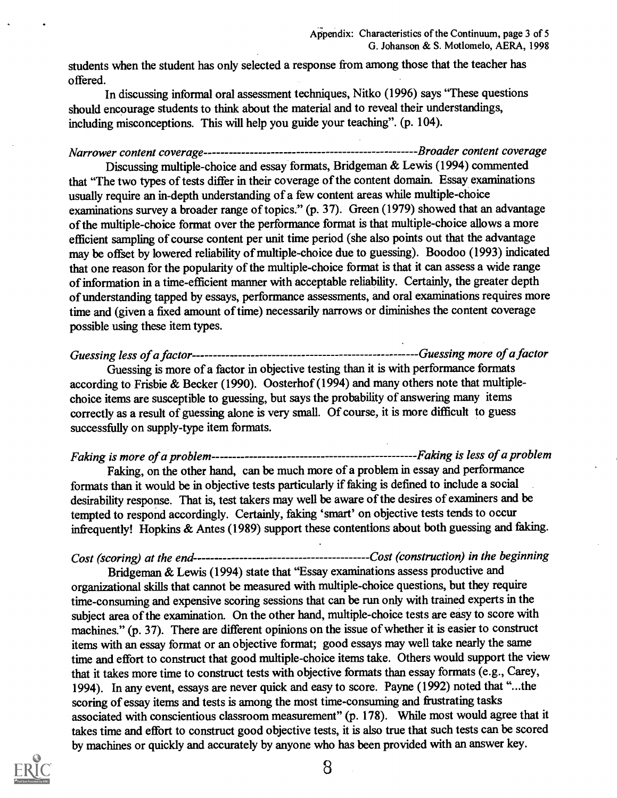students when the student has only selected a response from among those that the teacher has offered.

In discussing informal oral assessment techniques, Nitko (1996) says "These questions should encourage students to think about the material and to reveal their understandings, including misconceptions. This will help you guide your teaching". (p. 104).

Narrower content coverage Broader content coverage

Discussing multiple-choice and essay formats, Bridgeman & Lewis (1994) commented that "The two types of tests differ in their coverage of the content domain. Essay examinations usually require an in-depth understanding of a few content areas while multiple-choice examinations survey a broader range of topics." (p. 37). Green (1979) showed that an advantage of the multiple-choice format over the performance format is that multiple-choice allows a more efficient sampling of course content per unit time period (she also points out that the advantage may be offset by lowered reliability of multiple-choice due to guessing). Boodoo (1993) indicated that one reason for the popularity of the multiple-choice format is that it can assess a wide range of information in a time-efficient manner with acceptable reliability. Certainly, the greater depth of understanding tapped by essays, performance assessments, and oral examinations requires more time and (given a fixed amount of time) necessarily narrows or diminishes the content coverage possible using these item types.

Guessing less of a factor Guessing more of a factor Guessing is more of a factor in objective testing than it is with performance formats according to Frisbie & Becker (1990). Oosterhof (1994) and many others note that multiplechoice items are susceptible to guessing, but says the probability of answering many items correctly as a result of guessing alone is very small. Of course, it is more difficult to guess successfully on supply-type item formats.

Faking is more of a problem Faking is less of a problem

Faking, on the other hand, can be much more of a problem in essay and performance formats than it would be in objective tests particularly if faking is defined to include a social desirability response. That is, test takers may well be aware of the desires of examiners and be tempted to respond accordingly. Certainly, faking 'smart' on objective tests tends to occur infrequently! Hopkins & Antes (1989) support these contentions about both guessing and faking.

Cost (scoring) at the end Cost (construction) in the beginning

Bridgeman & Lewis (1994) state that "Essay examinations assess productive and organizational skills that cannot be measured with multiple-choice questions, but they require time-consuming and expensive scoring sessions that can be run only with trained experts in the subject area of the examination. On the other hand, multiple-choice tests are easy to score with machines." (p. 37). There are different opinions on the issue of whether it is easier to construct items with an essay format or an objective format; good essays may well take nearly the same time and effort to construct that good multiple-choice items take. Others would support the view that it takes more time to construct tests with objective formats than essay formats (e.g., Carey, 1994). In any event, essays are never quick and easy to score. Payne (1992) noted that "...the scoring of essay items and tests is among the most time-consuming and frustrating tasks associated with conscientious classroom measurement" (p. 178). While most would agree that it takes time and effort to construct good objective tests, it is also true that such tests can be scored by machines or quickly and accurately by anyone who has been provided with an answer key.



8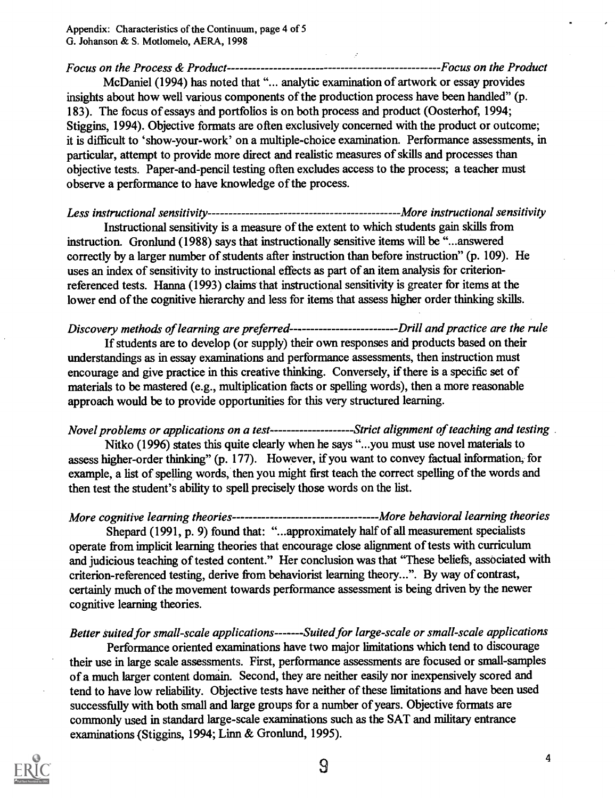Focus on the Process & Product Focus on the Product McDaniel (1994) has noted that "... analytic examination of artwork or essay provides insights about how well various components of the production process have been handled" (p. 183). The focus of essays and portfolios is on both process and product (Oosterhof, 1994;

Stiggins, 1994). Objective formats are often exclusively concerned with the product or outcome; it is difficult to 'show-your-work' on a multiple-choice examination. Performance assessments, in particular, attempt to provide more direct and realistic measures of skills and processes than objective tests. Paper-and-pencil testing often excludes access to the process; a teacher must observe a performance to have knowledge of the process.

Less instructional sensitivity More instructional sensitivity Instructional sensitivity is a measure of the extent to which students gain skills from instruction. Gronlund (1988) says that instructionally sensitive items will be "...answered correctly by a larger number of students after instruction than before instruction" (p. 109). He uses an index of sensitivity to instructional effects as part of an item analysis for criterionreferenced tests. Hanna (1993) claims that instructional sensitivity is greater for items at the lower end of the cognitive hierarchy and less for items that assess higher order thinking skills.

Discovery methods of learning are preferred-------------------------------Drill and practice are the rule

If students are to develop (or supply) their own responses and products based on their understandings as in essay examinations and performance assessments, then instruction must encourage and give practice in this creative thinking. Conversely, if there is a specific set of materials to be mastered (e.g., multiplication facts or spelling words), then a more reasonable approach would be to provide opportunities for this very structured learning.

Novel problems or applications on a test--------------------Strict alignment of teaching and testing Nitko (1996) states this quite clearly when he says "...you must use novel materials to assess higher-order thinking" (p. 177). However, if you want to convey factual information, for example, a list of spelling words, then you might first teach the correct spelling of the words and then test the student's ability to spell precisely those words on the list.

More cognitive learning theories More behavioral learning theories Shepard (1991, p. 9) found that: "...approximately half of all measurement specialists operate from implicit learning theories that encourage close alignment of tests with curriculum and judicious teaching of tested content." Her conclusion was that "These beliefs, associated with criterion-referenced testing, derive from behaviorist learning theory...". By way of contrast, certainly much of the movement towards performance assessment is being driven by the newer cognitive learning theories.

## Better suited for small-scale applications-------Suited for large-scale or small-scale applications

Performance oriented examinations have two major limitations which tend to discourage their use in large scale assessments. First, performance assessments are focused or small-samples of a much larger content domain. Second, they are neither easily nor inexpensively scored and tend to have low reliability. Objective tests have neither of these limitations and have been used successfully with both small and large groups for a number of years. Objective formats are commonly used in standard large-scale examinations such as the SAT and military entrance examinations (Stiggins, 1994; Linn & Gronlund, 1995).

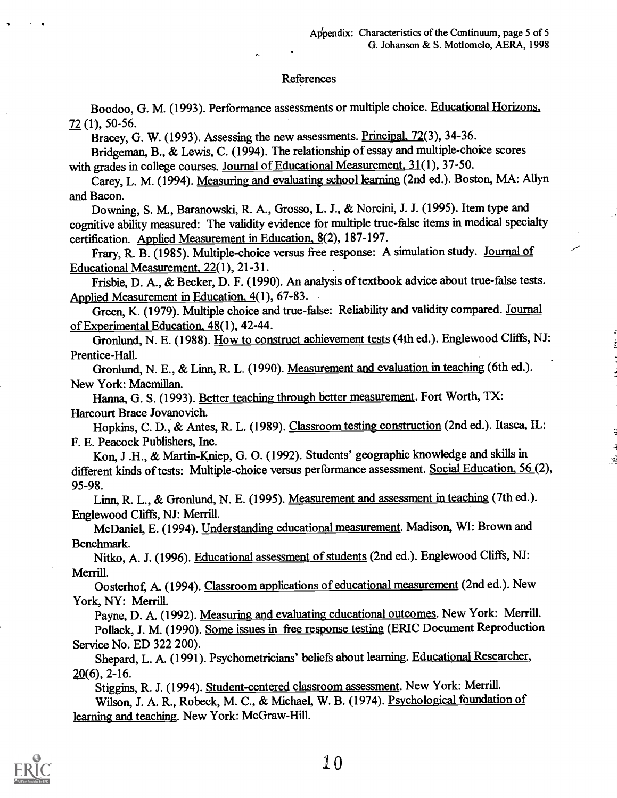#### References

Boodoo, G. M. (1993). Performance assessments or multiple choice. Educational Horizons, 72 (1), 50-56.

Bracey, G. W. (1993). Assessing the new assessments. Principal, 72(3), 34-36.

ż.

Bridgeman, B., & Lewis, C. (1994). The relationship of essay and multiple-choice scores with grades in college courses. Journal of Educational Measurement, 31(1), 37-50.

Carey, L. M. (1994). Measuring and evaluating school learning (2nd ed.). Boston, MA: Allyn and Bacon.

Downing, S. M., Baranowski, R. A., Grosso, L. J., & Norcini, J. J. (1995). Item type and cognitive ability measured: The validity evidence for multiple true-false items in medical specialty certification. Applied Measurement in Education, 8(2), 187-197.

Frary, R. B. (1985). Multiple-choice versus free response: A simulation study. Journal of Educational Measurement, 22(1), 21-31.

Frisbie, D. A., & Becker, D. F. (1990). An analysis of textbook advice about true-false tests. Applied Measurement in Education, 4(1), 67-83.

Green, K. (1979). Multiple choice and true-false: Reliability and validity compared. Journal of Experimental Education, 48(1), 42-44.

Gronlund, N. E. (1988). How to construct achievement tests (4th ed.). Englewood Cliffs, NJ: Prentice-Hall.

Gronlund, N. E., & Linn, R. L. (1990). Measurement and evaluation in teaching (6th ed.). New York: Macmillan.

Hanna, G. S. (1993). Better teaching through better measurement. Fort Worth, TX: Harcourt Brace Jovanovich.

Hopkins, C. D., & Antes, R. L. (1989). Classroom testing construction (2nd ed.). Itasca, IL: F. E. Peacock Publishers, Inc.

Kon, J .H., & Martin-Kniep, G. 0. (1992). Students' geographic knowledge and skills in different kinds of tests: Multiple-choice versus performance assessment. Social Education, 56 (2), 95-98.

Linn, R. L., & Gronlund, N. E. (1995). Measurement and assessment in teaching (7th ed.). Englewood Cliffs, NJ: Merrill.

McDaniel, E. (1994). Understanding educational measurement. Madison, WI: Brown and Benchmark.

Nitko, A. J. (1996). Educational assessment of students (2nd ed.). Englewood Cliffs, NJ: Merrill.

Oosterhof, A. (1994). Classroom applications of educational measurement (2nd ed.). New York, NY: Merrill.

Payne, D. A. (1992). Measuring and evaluating educational outcomes. New York: Merrill. Pollack, J. M. (1990). Some issues in free response testing (ERIC Document Reproduction Service No. ED 322 200).

Shepard, L. A. (1991). Psychometricians' beliefs about learning. Educational Researcher,  $20(6)$ , 2-16.

Stiggins, R. J. (1994). Student-centered classroom assessment. New York: Merrill. Wilson, J. A. R., Robeck, M. C., & Michael, W. B. (1974). Psychological foundation of learning and teaching. New York: McGraw-Hill.